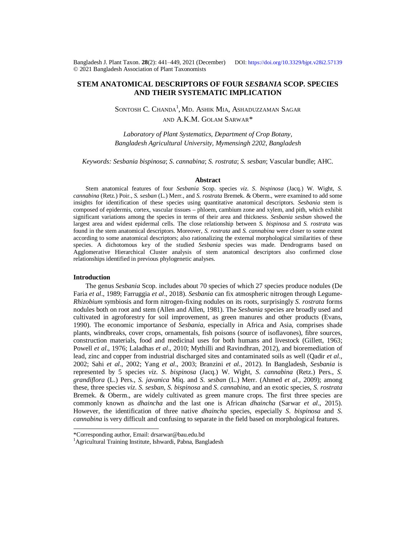Bangladesh J. Plant Taxon. **28**(2): 441‒449, 2021 (December) DOI:<https://doi.org/10.3329/bjpt.v28i2.57139> © 2021 Bangladesh Association of Plant Taxonomists

# **STEM ANATOMICAL DESCRIPTORS OF FOUR** *SESBANIA* **SCOP. SPECIES AND THEIR SYSTEMATIC IMPLICATION**

Sontosh C. Chanda<sup>1</sup>, Md. Ashik Mia, Ashaduzzaman Sagar AND A.K.M. GOLAM SARWAR\*

*Laboratory of Plant Systematics, Department of Crop Botany, Bangladesh Agricultural University, Mymensingh 2202, Bangladesh*

*Keywords: Sesbania bispinosa*; *S*. *cannabina*; *S. rostrata*; *S. sesban*; Vascular bundle; AHC.

### **Abstract**

Stem anatomical features of four *Sesbania* Scop. species *viz*. *S*. *bispinosa* (Jacq.) W. Wight, *S*. *cannabina* (Retz.) Poir., *S. sesban* (L.) Merr., and *S. rostrata* Bremek. & Oberm., were examined to add some insights for identification of these species using quantitative anatomical descriptors. *Sesbania* stem is composed of epidermis, cortex, vascular tissues – phloem, cambium zone and xylem, and pith, which exhibit significant variations among the species in terms of their area and thickness. *Sesbania sesban* showed the largest area and widest epidermal cells. The close relationship between *S. bispinosa* and *S. rostrata* was found in the stem anatomical descriptors. Moreover, *S. rostrata* and *S. cannabina* were closer to some extent according to some anatomical descriptors; also rationalizing the external morphological similarities of these species. A dichotomous key of the studied *Sesbania* species was made. Dendrograms based on Agglomerative Hierarchical Cluster analysis of stem anatomical descriptors also confirmed close relationships identified in previous phylogenetic analyses.

## **Introduction**

The genus *Sesbania* Scop. includes about 70 species of which 27 species produce nodules (De Faria *et al*., 1989; Farruggia *et al*., 2018). *Sesbania* can fix atmospheric nitrogen through Legume-*Rhizobium* symbiosis and form nitrogen-fixing nodules on its roots, surprisingly *S. rostrata* forms nodules both on root and stem (Allen and Allen, 1981). The *Sesbania* species are broadly used and cultivated in agroforestry for soil improvement, as green manures and other products (Evans, 1990). The economic importance of *Sesbania*, especially in Africa and Asia, comprises shade plants, windbreaks, cover crops, ornamentals, fish poisons (source of isoflavones), fibre sources, construction materials, food and medicinal uses for both humans and livestock (Gillett, 1963; Powell *et al*., 1976; Laladhas *et al*., 2010; Mythilli and Ravindhran, 2012), and bioremediation of lead, zinc and copper from industrial discharged sites and contaminated soils as well (Qadir *et al*., 2002; Sahi *et al*., 2002; Yang *et al*., 2003; Branzini *et al*., 2012). In Bangladesh, *Sesbania* is represented by 5 species *viz*. *S*. *bispinosa* (Jacq.) W. Wight, *S*. *cannabina* (Retz.) Pers., *S. grandiflora* (L.) Pers., *S. javanica* Miq. and *S. sesban* (L.) Merr. (Ahmed *et al*., 2009); among these, three species *viz*. *S. sesban*, *S*. *bispinosa* and *S*. *cannabina*, and an exotic species, *S. rostrata* Bremek. & Oberm., are widely cultivated as green manure crops. The first three species are commonly known as *dhaincha* and the last one is African *dhaincha* (Sarwar *et al*., 2015). However, the identification of three native *dhaincha* species, especially *S*. *bispinosa* and *S*. *cannabina* is very difficult and confusing to separate in the field based on morphological features.

<sup>\*</sup>Corresponding author, Email: [drsarwar@bau.edu.bd](mailto:drsarwar@bau.edu.bd)

<sup>&</sup>lt;sup>1</sup>Agricultural Training Institute, Ishwardi, Pabna, Bangladesh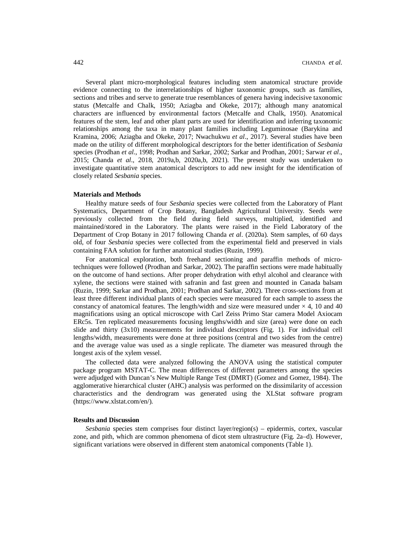Several plant micro-morphological features including stem anatomical structure provide evidence connecting to the interrelationships of higher taxonomic groups, such as families, sections and tribes and serve to generate true resemblances of genera having indecisive taxonomic status (Metcalfe and Chalk, 1950; Aziagba and Okeke, 2017); although many anatomical characters are influenced by environmental factors (Metcalfe and Chalk, 1950). Anatomical features of the stem, leaf and other plant parts are used for identification and inferring taxonomic relationships among the taxa in many plant families including Leguminosae (Barykina and Kramina, 2006; Aziagba and Okeke, 2017; Nwachukwu *et al*., 2017). Several studies have been made on the utility of different morphological descriptors for the better identification of *Sesbania* species (Prodhan *et al*., 1998; Prodhan and Sarkar, 2002; Sarkar and Prodhan, 2001; Sarwar *et al*., 2015; Chanda *et al*., 2018, 2019a,b, 2020a,b, 2021). The present study was undertaken to investigate quantitative stem anatomical descriptors to add new insight for the identification of closely related *Sesbania* species.

# **Materials and Methods**

Healthy mature seeds of four *Sesbania* species were collected from the Laboratory of Plant Systematics, Department of Crop Botany, Bangladesh Agricultural University. Seeds were previously collected from the field during field surveys, multiplied, identified and maintained/stored in the Laboratory. The plants were raised in the Field Laboratory of the Department of Crop Botany in 2017 following Chanda *et al*. (2020a). Stem samples, of 60 days old, of four *Sesbania* species were collected from the experimental field and preserved in vials containing FAA solution for further anatomical studies (Ruzin, 1999).

For anatomical exploration, both freehand sectioning and paraffin methods of microtechniques were followed (Prodhan and Sarkar, 2002). The paraffin sections were made habitually on the outcome of hand sections. After proper dehydration with ethyl alcohol and clearance with xylene, the sections were stained with safranin and fast green and mounted in Canada balsam (Ruzin, 1999; Sarkar and Prodhan, 2001; Prodhan and Sarkar, 2002). Three cross-sections from at least three different individual plants of each species were measured for each sample to assess the constancy of anatomical features. The length/width and size were measured under  $\times$  4, 10 and 40 magnifications using an optical microscope with Carl Zeiss Primo Star camera Model Axiocam ERc5s. Ten replicated measurements focusing lengths/width and size (area) were done on each slide and thirty (3x10) measurements for individual descriptors (Fig. 1). For individual cell lengths/width, measurements were done at three positions (central and two sides from the centre) and the average value was used as a single replicate. The diameter was measured through the longest axis of the xylem vessel.

The collected data were analyzed following the ANOVA using the statistical computer package program MSTAT-C. The mean differences of different parameters among the species were adjudged with Duncan's New Multiple Range Test (DMRT) (Gomez and Gomez, 1984). The agglomerative hierarchical cluster (AHC) analysis was performed on the dissimilarity of accession characteristics and the dendrogram was generated using the XLStat software program [\(https://www.xlstat.com/en/\).](https://www.xlstat.com/en/).)

#### **Results and Discussion**

*Sesbania* species stem comprises four distinct layer/region(s) – epidermis, cortex, vascular zone, and pith, which are common phenomena of dicot stem ultrastructure (Fig. 2a–d). However, significant variations were observed in different stem anatomical components (Table 1).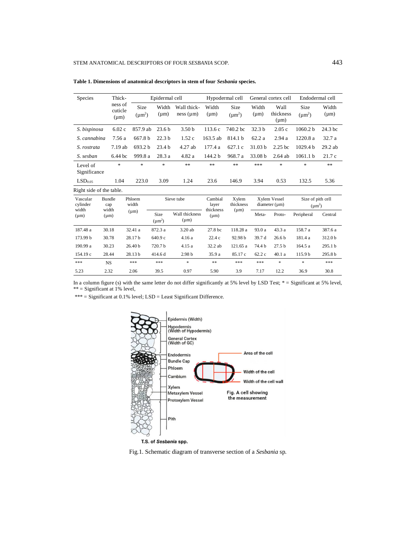| <b>Species</b>                             |                        | Thick-                            | Epidermal cell      |                                   |                             | Hypodermal cell               |                     | General cortex cell               |                                | Endodermal cell                  |                    |
|--------------------------------------------|------------------------|-----------------------------------|---------------------|-----------------------------------|-----------------------------|-------------------------------|---------------------|-----------------------------------|--------------------------------|----------------------------------|--------------------|
|                                            |                        | ness of<br>cuticle<br>$(\mu m)$   | Size<br>$(\mu m^2)$ | Width<br>$(\mu m)$                | Wall thick-<br>ness (µm)    | Width<br>$(\mu m)$            | Size<br>$(\mu m^2)$ | Width<br>$(\mu m)$                | Wall<br>thickness<br>$(\mu m)$ | Size<br>$(\mu m^2)$              | Width<br>$(\mu m)$ |
| S. bispinosa                               |                        | 6.02c                             | 857.9 ab            | 23.6 <sub>b</sub>                 | 3.50 <sub>b</sub>           | 113.6c                        | 740.2 bc            | 32.3 <sub>b</sub>                 | 2.05c                          | 1060.2 b                         | 24.3 bc            |
| S. cannabina                               |                        | 7.56 a                            | 667.8 b             | 22.3 <sub>b</sub>                 | 1.52c                       | 163.5 ab                      | 814.1 b             | 62.2 a                            | 2.94a                          | 1220.8 a                         | 32.7 a             |
| S. rostrata                                |                        | 7.19ab                            | 693.2 b             | 23.4 <sub>b</sub>                 | 4.27 ab                     | 177.4 a                       | 627.1c              | 31.03 b                           | 2.25 <sub>bc</sub>             | 1029.4 <sub>b</sub>              | $29.2$ ab          |
| S. sesban                                  |                        | $6.44\,\mathrm{bc}$               | 999.8 a             | 28.3 a                            | 4.82 a                      | 144.2 b                       | 968.7 a             | 33.08 b                           | $2.64$ ab                      | 1061.1 <sub>b</sub>              | 21.7c              |
| Level of<br>Significance                   |                        | $\frac{d\mathbf{r}}{d\mathbf{r}}$ | $\frac{1}{2}$       | $\frac{d\mathbf{r}}{d\mathbf{r}}$ | $\ast$ $\ast$               | $\ast$ $\ast$                 | $**$                | ***                               | $\ast$                         | $\frac{1}{2}$                    | $\ast$             |
| LSD <sub>0.05</sub>                        |                        | 1.04                              | 223.0               | 3.09                              | 1.24                        | 23.6                          | 146.9               | 3.94                              | 0.53                           | 132.5                            | 5.36               |
| Right side of the table.                   |                        |                                   |                     |                                   |                             |                               |                     |                                   |                                |                                  |                    |
| Vascular<br>cylinder<br>width<br>$(\mu m)$ | Bundle<br>cap<br>width |                                   | Phloem<br>width     | Sieve tube                        |                             | Cambial<br>layer<br>thickness | Xylem<br>thickness  | Xylem Vessel<br>$diameter(\mu m)$ |                                | Size of pith cell<br>$(\mu m^2)$ |                    |
|                                            |                        | $(\mu m)$                         | $(\mu m)$           | Size<br>$(\mu m^2)$               | Wall thickness<br>$(\mu m)$ | $(\mu m)$                     | $(\mu m)$           | Meta-                             | Proto-                         | Peripheral                       | Central            |
| 187.48 a                                   |                        | 30.18                             | 32.41 a             | 872.3 a                           | 3.20 ab                     | 27.8 bc                       | 118.28 a            | 93.0 a                            | 43.3a                          | 158.7 a                          | 387.6 a            |
| 173.99 b                                   |                        | 30.78                             | 28.17b              | 640.9 c                           | 4.16 a                      | 22.4 c                        | 92.98 b             | 39.7 d                            | 26.6 <sub>b</sub>              | 181.4 a                          | 312.0 b            |
| 190.99 a                                   |                        | 30.23                             | 26.40 b             | 720.7b                            | 4.15 a                      | 32.2 ab                       | 121.65 a            | 74.4 b                            | 27.5 <sub>b</sub>              | 164.5 a                          | 295.1 <sub>b</sub> |
| 154.19 c                                   |                        | 28.44                             | 28.13b              | 414.6 d                           | 2.98 <sub>b</sub>           | 35.9 a                        | 85.17 c             | 62.2c                             | 40.1 a                         | 115.9b                           | 295.8 b            |
| ***                                        | <b>NS</b>              |                                   | ***                 | ***                               | $\ast$                      | $\ast\ast$                    | ***                 | $***$                             | ×.                             | $\ast$                           | ***                |
| 5.23                                       |                        | 2.32                              | 2.06                | 39.5                              | 0.97                        | 5.90                          | 3.9                 | 7.17                              | 12.2                           | 36.9                             | 30.8               |

**Table 1. Dimensions of anatomical descriptors in stem of four** *Sesbania* **species.**

In a column figure (s) with the same letter do not differ significantly at 5% level by LSD Test; \* = Significant at 5% level, \*\* = Significant at 1% level,

\*\*\* = Significant at 0.1% level; LSD = Least Significant Difference.



Fig.1. Schematic diagram of transverse section of a *Sesbania* sp.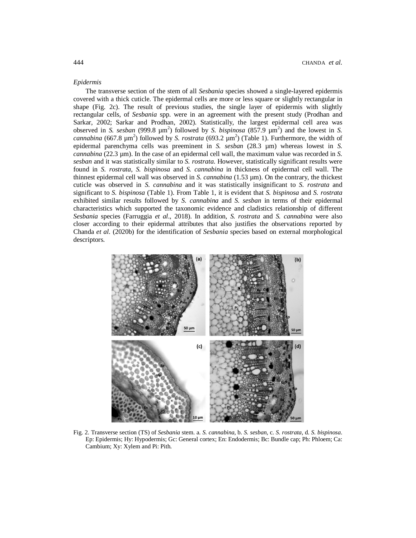# *Epidermis*

The transverse section of the stem of all *Sesbania* species showed a single-layered epidermis covered with a thick cuticle. The epidermal cells are more or less square or slightly rectangular in shape (Fig. 2c). The result of previous studies, the single layer of epidermis with slightly rectangular cells, of *Sesbania* spp. were in an agreement with the present study (Prodhan and Sarkar, 2002; Sarkar and Prodhan, 2002). Statistically, the largest epidermal cell area was observed in *S. sesban* (999.8  $\mu$ m<sup>2</sup>) followed by *S. bispinosa* (857.9  $\mu$ m<sup>2</sup>) and the lowest in *S. cannabina* (667.8  $\mu$ m<sup>2</sup>) followed by *S. rostrata* (693.2  $\mu$ m<sup>2</sup>) (Table 1). Furthermore, the width of epidermal parenchyma cells was preeminent in *S. sesban* (28.3 µm) whereas lowest in *S. cannabina* (22.3 µm). In the case of an epidermal cell wall, the maximum value was recorded in *S. sesban* and it was statistically similar to *S. rostrata*. However, statistically significant results were found in *S. rostrata*, *S. bispinosa* and *S. cannabina* in thickness of epidermal cell wall. The thinnest epidermal cell wall was observed in *S. cannabina* (1.53 µm). On the contrary, the thickest cuticle was observed in *S. cannabina* and it was statistically insignificant to *S. rostrata* and significant to *S. bispinosa* (Table 1). From Table 1, it is evident that *S. bispinosa* and *S. rostrata* exhibited similar results followed by *S. cannabina* and *S. sesban* in terms of their epidermal characteristics which supported the taxonomic evidence and cladistics relationship of different *Sesbania* species (Farruggia *et al*., 2018). In addition, *S. rostrata* and *S. cannabina* were also closer according to their epidermal attributes that also justifies the observations reported by Chanda *et al*. (2020b) for the identification of *Sesbania* species based on external morphological descriptors.



Fig. 2. Transverse section (TS) of *Sesbania* stem. a. *S*. *cannabina*, b. *S*. *sesban*, c. *S*. *rostrata*, d. *S*. *bispinosa*. Ep: Epidermis; Hy: Hypodermis; Gc: General cortex; En: Endodermis; Bc: Bundle cap; Ph: Phloem; Ca: Cambium; Xy: Xylem and Pi: Pith.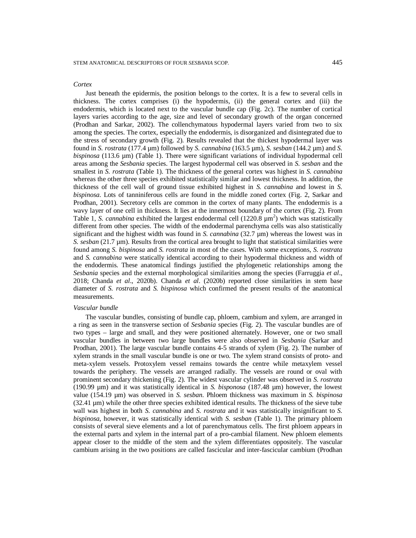#### *Cortex*

Just beneath the epidermis, the position belongs to the cortex. It is a few to several cells in thickness. The cortex comprises (i) the hypodermis, (ii) the general cortex and (iii) the endodermis, which is located next to the vascular bundle cap (Fig. 2c). The number of cortical layers varies according to the age, size and level of secondary growth of the organ concerned (Prodhan and Sarkar, 2002). The collenchymatous hypodermal layers varied from two to six among the species. The cortex, especially the endodermis, is disorganized and disintegrated due to the stress of secondary growth (Fig. 2). Results revealed that the thickest hypodermal layer was found in *S. rostrata* (177.4 µm) followed by *S. cannabina* (163.5 µm), *S. sesban* (144.2 µm) and *S. bispinosa* (113.6 µm) (Table 1). There were significant variations of individual hypodermal cell areas among the *Sesbania* species. The largest hypodermal cell was observed in *S. sesban* and the smallest in *S. rostrata* (Table 1). The thickness of the general cortex was highest in *S. cannabina* whereas the other three species exhibited statistically similar and lowest thickness. In addition, the thickness of the cell wall of ground tissue exhibited highest in *S. cannabina* and lowest in *S. bispinosa*. Lots of tanniniferous cells are found in the middle zoned cortex (Fig. 2, Sarkar and Prodhan, 2001). Secretory cells are common in the cortex of many plants. The endodermis is a wavy layer of one cell in thickness. It lies at the innermost boundary of the cortex (Fig. 2). From Table 1, *S. cannabina* exhibited the largest endodermal cell  $(1220.8 \mu m^2)$  which was statistically different from other species. The width of the endodermal parenchyma cells was also statistically significant and the highest width was found in *S. cannabina* (32.7 µm) whereas the lowest was in *S. sesban* (21.7 µm). Results from the cortical area brought to light that statistical similarities were found among *S. bispinosa* and *S. rostrata* in most of the cases. With some exceptions, *S. rostrata* and *S. cannabina* were statically identical according to their hypodermal thickness and width of the endodermis. These anatomical findings justified the phylogenetic relationships among the *Sesbania* species and the external morphological similarities among the species (Farruggia *et al*., 2018; Chanda *et al*., 2020b). Chanda *et al*. (2020b) reported close similarities in stem base diameter of *S. rostrata* and *S. bispinosa* which confirmed the present results of the anatomical measurements.

#### *Vascular bundle*

The vascular bundles, consisting of bundle cap, phloem, cambium and xylem, are arranged in a ring as seen in the transverse section of *Sesbania* species (Fig. 2). The vascular bundles are of two types – large and small, and they were positioned alternately. However, one or two small vascular bundles in between two large bundles were also observed in *Sesbania* (Sarkar and Prodhan, 2001). The large vascular bundle contains 4-5 strands of xylem (Fig. 2). The number of xylem strands in the small vascular bundle is one or two. The xylem strand consists of proto- and meta-xylem vessels. Protoxylem vessel remains towards the centre while metaxylem vessel towards the periphery. The vessels are arranged radially. The vessels are round or oval with prominent secondary thickening (Fig. 2). The widest vascular cylinder was observed in *S. rostrata*  (190.99 µm) and it was statistically identical in *S. bisponosa* (187.48 µm) however, the lowest value (154.19 µm) was observed in *S. sesban*. Phloem thickness was maximum in *S. bispinosa* (32.41 µm) while the other three species exhibited identical results. The thickness of the sieve tube wall was highest in both *S. cannabina* and *S. rostrata* and it was statistically insignificant to *S. bispinosa*, however, it was statistically identical with *S. sesban* (Table 1). The primary phloem consists of several sieve elements and a lot of parenchymatous cells. The first phloem appears in the external parts and xylem in the internal part of a pro-cambial filament. New phloem elements appear closer to the middle of the stem and the xylem differentiates oppositely. The vascular cambium arising in the two positions are called fascicular and inter-fascicular cambium (Prodhan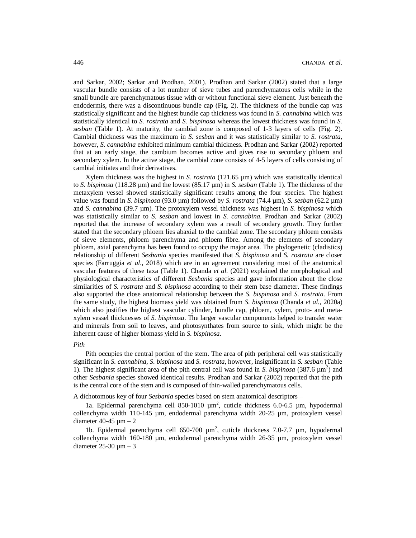and Sarkar, 2002; Sarkar and Prodhan, 2001). Prodhan and Sarkar (2002) stated that a large vascular bundle consists of a lot number of sieve tubes and parenchymatous cells while in the small bundle are parenchymatous tissue with or without functional sieve element. Just beneath the endodermis, there was a discontinuous bundle cap (Fig. 2). The thickness of the bundle cap was statistically significant and the highest bundle cap thickness was found in *S. cannabina* which was statistically identical to *S. rostrata* and *S. bispinosa* whereas the lowest thickness was found in *S. sesban* (Table 1). At maturity, the cambial zone is composed of 1-3 layers of cells (Fig. 2). Cambial thickness was the maximum in *S. sesban* and it was statistically similar to *S. rostrata*, however, *S. cannabina* exhibited minimum cambial thickness. Prodhan and Sarkar (2002) reported that at an early stage, the cambium becomes active and gives rise to secondary phloem and secondary xylem. In the active stage, the cambial zone consists of 4-5 layers of cells consisting of cambial initiates and their derivatives.

Xylem thickness was the highest in *S. rostrata* (121.65 µm) which was statistically identical to *S. bispinosa* (118.28 µm) and the lowest (85.17 µm) in *S. sesban* (Table 1). The thickness of the metaxylem vessel showed statistically significant results among the four species. The highest value was found in *S. bispinosa* (93.0 µm) followed by *S. rostrata* (74.4 µm), *S. sesban* (62.2 µm) and *S. cannabina* (39.7 µm). The protoxylem vessel thickness was highest in *S. bispinosa* which was statistically similar to *S. sesban* and lowest in *S. cannabina*. Prodhan and Sarkar (2002) reported that the increase of secondary xylem was a result of secondary growth. They further stated that the secondary phloem lies abaxial to the cambial zone. The secondary phloem consists of sieve elements, phloem parenchyma and phloem fibre. Among the elements of secondary phloem, axial parenchyma has been found to occupy the major area. The phylogenetic (cladistics) relationship of different *Sesbania* species manifested that *S. bispinosa* and *S. rostrata* are closer species (Farruggia *et al*., 2018) which are in an agreement considering most of the anatomical vascular features of these taxa (Table 1). Chanda *et al*. (2021) explained the morphological and physiological characteristics of different *Sesbania* species and gave information about the close similarities of *S. rostrata* and *S. bispinosa* according to their stem base diameter. These findings also supported the close anatomical relationship between the *S. bispinosa* and *S. rostrata.* From the same study, the highest biomass yield was obtained from *S. bispinosa* (Chanda *et al*., 2020a) which also justifies the highest vascular cylinder, bundle cap, phloem, xylem, proto- and metaxylem vessel thicknesses of *S. bispinosa*. The larger vascular components helped to transfer water and minerals from soil to leaves, and photosynthates from source to sink, which might be the inherent cause of higher biomass yield in *S. bispinosa*.

#### *Pith*

Pith occupies the central portion of the stem. The area of pith peripheral cell was statistically significant in *S. cannabina*, *S. bispinosa* and *S. rostrata*, however, insignificant in *S. sesban* (Table 1). The highest significant area of the pith central cell was found in *S. bispinosa* (387.6  $\mu$ m<sup>2</sup>) and other *Sesbania* species showed identical results. Prodhan and Sarkar (2002) reported that the pith is the central core of the stem and is composed of thin-walled parenchymatous cells.

A dichotomous key of four *Sesbania* species based on stem anatomical descriptors –

1a. Epidermal parenchyma cell 850-1010  $\mu$ m<sup>2</sup>, cuticle thickness 6.0-6.5  $\mu$ m, hypodermal collenchyma width 110-145  $\mu$ m, endodermal parenchyma width 20-25  $\mu$ m, protoxylem vessel diameter  $40-45 \text{ µm} - 2$ 

1b. Epidermal parenchyma cell  $650-700 \mu m^2$ , cuticle thickness 7.0-7.7  $\mu$ m, hypodermal collenchyma width 160-180 µm, endodermal parenchyma width 26-35 µm, protoxylem vessel diameter  $25-30 \text{ µm} - 3$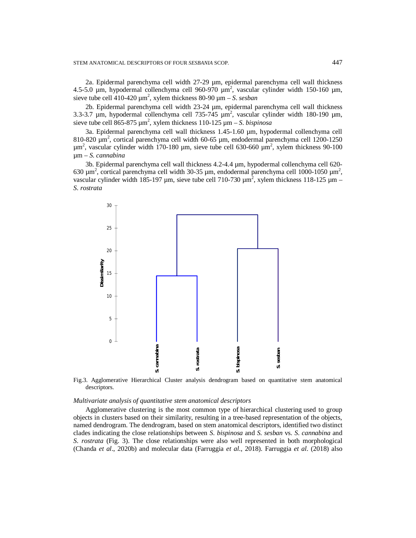2a. Epidermal parenchyma cell width 27-29 µm, epidermal parenchyma cell wall thickness 4.5-5.0  $\mu$ m, hypodermal collenchyma cell 960-970  $\mu$ m<sup>2</sup>, vascular cylinder width 150-160  $\mu$ m, sieve tube cell  $410-420 \mu m^2$ , xylem thickness 80-90  $\mu$ m – *S. sesban* 

2b. Epidermal parenchyma cell width 23-24 µm, epidermal parenchyma cell wall thickness 3.3-3.7  $\mu$ m, hypodermal collenchyma cell 735-745  $\mu$ m<sup>2</sup>, vascular cylinder width 180-190  $\mu$ m, sieve tube cell  $865-875 \mu m^2$ , xylem thickness  $110-125 \mu m - S$ . *bispinosa* 

3a. Epidermal parenchyma cell wall thickness 1.45-1.60 µm, hypodermal collenchyma cell 810-820  $\mu$ m<sup>2</sup>, cortical parenchyma cell width 60-65  $\mu$ m, endodermal parenchyma cell 1200-1250  $\mu$ m<sup>2</sup>, vascular cylinder width 170-180  $\mu$ m, sieve tube cell 630-660  $\mu$ m<sup>2</sup>, xylem thickness 90-100 µm – *S*. *cannabina*

3b. Epidermal parenchyma cell wall thickness 4.2-4.4 µm, hypodermal collenchyma cell 620- 630  $\mu$ m<sup>2</sup>, cortical parenchyma cell width 30-35  $\mu$ m, endodermal parenchyma cell 1000-1050  $\mu$ m<sup>2</sup>, vascular cylinder width 185-197  $\mu$ m, sieve tube cell 710-730  $\mu$ m<sup>2</sup>, xylem thickness 118-125  $\mu$ m – *S*. *rostrata*



Fig.3. Agglomerative Hierarchical Cluster analysis dendrogram based on quantitative stem anatomical descriptors.

#### *Multivariate analysis of quantitative stem anatomical descriptors*

Agglomerative clustering is the most common type of hierarchical clustering used to group objects in clusters based on their similarity, resulting in a tree-based representation of the objects, named dendrogram. The dendrogram, based on stem anatomical descriptors, identified two distinct clades indicating the close relationships between *S*. *bispinosa* and *S*. *sesban* vs. *S*. *cannabina* and *S*. *rostrata* (Fig. 3). The close relationships were also well represented in both morphological (Fig.3. Agglomerative Hierarchical Cluster analysis dendrogram based on quantitative stem anatomical descriptors.<br>
Multivariate analysis of quantitative stem anatomical descriptors<br>
Agglomerative clustering is the most com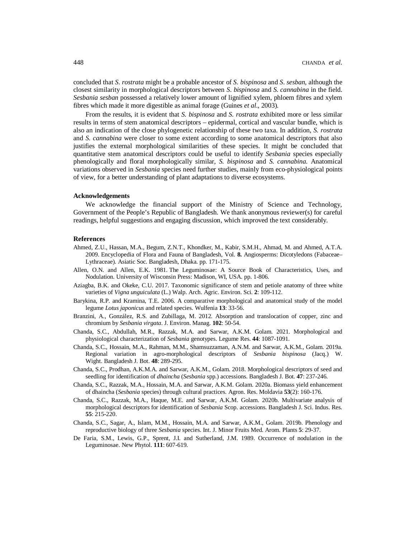concluded that *S*. *rostrata* might be a probable ancestor of *S*. *bispinosa* and *S*. *sesban*, although the closest similarity in morphological descriptors between *S*. *bispinosa* and *S*. *cannabina* in the field. *Sesbania sesban* possessed a relatively lower amount of lignified xylem, phloem fibres and xylem fibres which made it more digestible as animal forage (Guines *et al*., 2003).

From the results, it is evident that *S. bispinosa* and *S. rostrata* exhibited more or less similar results in terms of stem anatomical descriptors – epidermal, cortical and vascular bundle, which is also an indication of the close phylogenetic relationship of these two taxa. In addition, *S. rostrata*  and *S. cannabina* were closer to some extent according to some anatomical descriptors that also justifies the external morphological similarities of these species. It might be concluded that quantitative stem anatomical descriptors could be useful to identify *Sesbania* species especially phenologically and floral morphologically similar, *S. bispinosa* and *S. cannabina*. Anatomical variations observed in *Sesbania* species need further studies, mainly from eco-physiological points of view, for a better understanding of plant adaptations to diverse ecosystems.

### **Acknowledgements**

We acknowledge the financial support of the Ministry of Science and Technology, Government of the People's Republic of Bangladesh. We thank anonymous reviewer(s) for careful readings, helpful suggestions and engaging discussion, which improved the text considerably.

## **References**

- Ahmed, Z.U., Hassan, M.A., Begum, Z.N.T., Khondker, M., Kabir, S.M.H., Ahmad, M. and Ahmed, A.T.A. 2009. Encyclopedia of Flora and Fauna of Bangladesh, Vol. **8.** Angiosperms: Dicotyledons (Fabaceae– Lythraceae). Asiatic Soc. Bangladesh, Dhaka. pp. 171-175.
- Allen, O.N. and Allen, E.K. 1981. The Leguminosae: A Source Book of Characteristics, Uses, and Nodulation. University of Wisconsin Press: Madison, WI, USA. pp. 1-806.
- Aziagba, B.K. and Okeke, C.U. 2017. Taxonomic significance of stem and petiole anatomy of three white varieties of *Vigna unguiculata* (L.) Walp. Arch. Agric. Environ. Sci. **2**: 109-112.
- Barykina, R.P. and Kramina, T.E. 2006. A comparative morphological and anatomical study of the model legume *Lotus japonicus* and related species. Wulfenia **13**: 33-56.
- Branzini, A., González, R.S. and Zubillaga, M. 2012. Absorption and translocation of copper, zinc and chromium by *Sesbania virgata*. J. Environ. Manag. **102**: 50-54.
- Chanda, S.C., Abdullah, M.R., Razzak, M.A. and Sarwar, A.K.M. Golam. 2021. Morphological and physiological characterization of *Sesbania* genotypes. Legume Res. **44**: 1087-1091.
- Chanda, S.C., Hossain, M.A., Rahman, M.M., Shamsuzzaman, A.N.M. and Sarwar, A.K.M., Golam. 2019a. Regional variation in agro-morphological descriptors of *Sesbania bispinosa* (Jacq.) W. Wight. Bangladesh J. Bot. **48**: 289-295.
- Chanda, S.C., Prodhan, A.K.M.A. and Sarwar, A.K.M., Golam. 2018. Morphological descriptors of seed and seedling for identification of *dhaincha* (*Sesbania* spp.) accessions. Bangladesh J. Bot. **47**: 237-246.
- Chanda, S.C., Razzak, M.A., Hossain, M.A. and Sarwar, A.K.M. Golam. 2020a. Biomass yield enhancement of dhaincha (*Sesbania* species) through cultural practices. Agron. Res. Moldavia **53**(2): 160-176.
- Chanda, S.C., Razzak, M.A., Haque, M.E. and Sarwar, A.K.M. Golam. 2020b. Multivariate analysis of morphological descriptors for identification of *Sesbania* Scop. accessions. Bangladesh J. Sci. Indus. Res. **55**: 215-220.
- Chanda, S.C., Sagar, A., Islam, M.M., Hossain, M.A. and Sarwar, A.K.M., Golam. 2019b. Phenology and reproductive biology of three *Sesbania* species. Int. J. Minor Fruits Med. Arom. Plants **5**: 29-37.
- De Faria, S.M., Lewis, G.P., Sprent, J.I. and Sutherland, J.M. 1989. Occurrence of nodulation in the Leguminosae. New Phytol. **111**: 607-619.